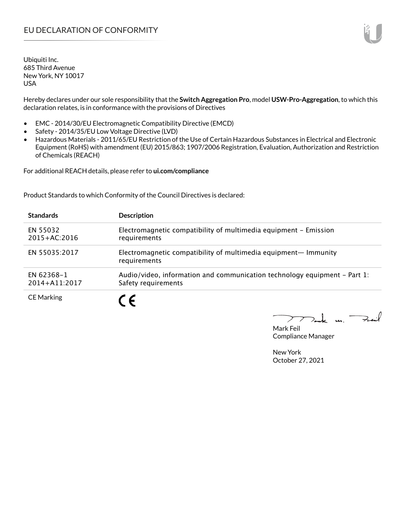Ubiquiti Inc. 685 Third Avenue New York, NY 10017 USA

Hereby declares under our sole responsibility that the **Switch Aggregation Pro**, model **USW-Pro-Aggregation**, to which this declaration relates, is in conformance with the provisions of Directives

- EMC 2014/30/EU Electromagnetic Compatibility Directive (EMCD)
- Safety 2014/35/EU Low Voltage Directive (LVD)
- Hazardous Materials 2011/65/EU Restriction of the Use of Certain Hazardous Substances in Electrical and Electronic Equipment (RoHS) with amendment (EU) 2015/863; 1907/2006 Registration, Evaluation, Authorization and Restriction of Chemicals (REACH)

For additional REACH details, please refer to **ui.com/compliance**

Product Standards to which Conformity of the Council Directives is declared:

| <b>Standards</b>                | <b>Description</b>                                                                                 |
|---------------------------------|----------------------------------------------------------------------------------------------------|
| EN 55032<br>$2015 + AC:2016$    | Electromagnetic compatibility of multimedia equipment - Emission<br>requirements                   |
| EN 55035:2017                   | Electromagnetic compatibility of multimedia equipment- Immunity<br>requirements                    |
| EN 62368-1<br>$2014 + A11:2017$ | Audio/video, information and communication technology equipment $-$ Part 1:<br>Safety requirements |
| <b>CE Marking</b>               |                                                                                                    |

Tak m. Fail  $\geq$ 

Mark Feil Compliance Manager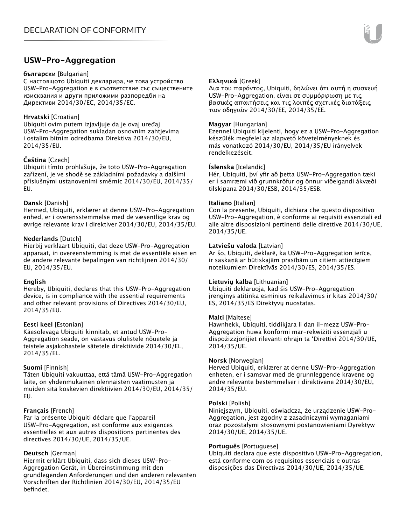## **USW-Pro-Aggregation**

#### **български** [Bulgarian]

С настоящото Ubiquiti декларира, че това устройство USW-Pro-Aggregation е в съответствие със съществените изисквания и други приложими разпоредби на Директиви 2014/30/ЕС, 2014/35/ЕС.

## **Hrvatski** [Croatian]

Ubiquiti ovim putem izjavljuje da je ovaj uređaj USW-Pro-Aggregation sukladan osnovnim zahtjevima i ostalim bitnim odredbama Direktiva 2014/30/EU, 2014/35/EU.

## **Čeština** [Czech]

Ubiquiti tímto prohlašuje, že toto USW-Pro-Aggregation zařízení, je ve shodě se základními požadavky a dalšími příslušnými ustanoveními směrnic 2014/30/EU, 2014/35/ EU.

## **Dansk** [Danish]

Hermed, Ubiquiti, erklærer at denne USW-Pro-Aggregation enhed, er i overensstemmelse med de væsentlige krav og øvrige relevante krav i direktiver 2014/30/EU, 2014/35/EU.

## **Nederlands** [Dutch]

Hierbij verklaart Ubiquiti, dat deze USW-Pro-Aggregation apparaat, in overeenstemming is met de essentiële eisen en de andere relevante bepalingen van richtlijnen 2014/30/ EU, 2014/35/EU.

## **English**

Hereby, Ubiquiti, declares that this USW-Pro-Aggregation device, is in compliance with the essential requirements and other relevant provisions of Directives 2014/30/EU, 2014/35/EU.

## **Eesti keel** [Estonian]

Käesolevaga Ubiquiti kinnitab, et antud USW-Pro-Aggregation seade, on vastavus olulistele nõuetele ja teistele asjakohastele sätetele direktiivide 2014/30/EL, 2014/35/EL.

## **Suomi** [Finnish]

Täten Ubiquiti vakuuttaa, että tämä USW-Pro-Aggregation laite, on yhdenmukainen olennaisten vaatimusten ja muiden sitä koskevien direktiivien 2014/30/EU, 2014/35/ EU.

## **Français** [French]

Par la présente Ubiquiti déclare que l'appareil USW-Pro-Aggregation, est conforme aux exigences essentielles et aux autres dispositions pertinentes des directives 2014/30/UE, 2014/35/UE.

## **Deutsch** [German]

Hiermit erklärt Ubiquiti, dass sich dieses USW-Pro-Aggregation Gerät, in Übereinstimmung mit den grundlegenden Anforderungen und den anderen relevanten Vorschriften der Richtlinien 2014/30/EU, 2014/35/EU befindet.

## **Ελληνικά** [Greek]

Δια του παρόντος, Ubiquiti, δηλώνει ότι αυτή η συσκευή USW-Pro-Aggregation, είναι σε συμμόρφωση με τις βασικές απαιτήσεις και τις λοιπές σχετικές διατάξεις των οδηγιών 2014/30/EE, 2014/35/EE.

### **Magyar** [Hungarian]

Ezennel Ubiquiti kijelenti, hogy ez a USW-Pro-Aggregation készülék megfelel az alapvető követelményeknek és más vonatkozó 2014/30/EU, 2014/35/EU irányelvek rendelkezéseit.

#### **Íslenska** [Icelandic]

Hér, Ubiquiti, því yfir að þetta USW-Pro-Aggregation tæki er í samræmi við grunnkröfur og önnur viðeigandi ákvæði tilskipana 2014/30/ESB, 2014/35/ESB.

#### **Italiano** [Italian]

Con la presente, Ubiquiti, dichiara che questo dispositivo USW-Pro-Aggregation, è conforme ai requisiti essenziali ed alle altre disposizioni pertinenti delle direttive 2014/30/UE, 2014/35/UE.

#### **Latviešu valoda** [Latvian]

Ar šo, Ubiquiti, deklarē, ka USW-Pro-Aggregation ierīce, ir saskaņā ar būtiskajām prasībām un citiem attiecīgiem noteikumiem Direktīvās 2014/30/ES, 2014/35/ES.

## **Lietuvių kalba** [Lithuanian]

Ubiquiti deklaruoja, kad šis USW-Pro-Aggregation įrenginys atitinka esminius reikalavimus ir kitas 2014/30/ ES, 2014/35/ES Direktyvų nuostatas.

## **Malti** [Maltese]

Hawnhekk, Ubiquiti, tiddikjara li dan il-mezz USW-Pro-Aggregation huwa konformi mar-rekwiżiti essenzjali u dispożizzjonijiet rilevanti oħrajn ta 'Direttivi 2014/30/UE, 2014/35/UE.

#### **Norsk** [Norwegian]

Herved Ubiquiti, erklærer at denne USW-Pro-Aggregation enheten, er i samsvar med de grunnleggende kravene og andre relevante bestemmelser i direktivene 2014/30/EU, 2014/35/EU.

#### **Polski** [Polish]

Niniejszym, Ubiquiti, oświadcza, że urządzenie USW-Pro-Aggregation, jest zgodny z zasadniczymi wymaganiami oraz pozostałymi stosownymi postanowieniami Dyrektyw 2014/30/UE, 2014/35/UE.

## **Português** [Portuguese]

Ubiquiti declara que este dispositivo USW-Pro-Aggregation, está conforme com os requisitos essenciais e outras disposições das Directivas 2014/30/UE, 2014/35/UE.

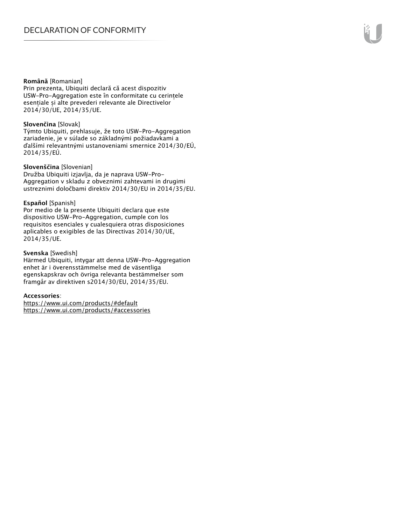#### **Română** [Romanian]

Prin prezenta, Ubiquiti declară că acest dispozitiv USW-Pro-Aggregation este în conformitate cu cerințele esențiale și alte prevederi relevante ale Directivelor 2014/30/UE, 2014/35/UE.

## **Slovenčina** [Slovak]

Týmto Ubiquiti, prehlasuje, že toto USW-Pro-Aggregation zariadenie, je v súlade so základnými požiadavkami a ďalšími relevantnými ustanoveniami smernice 2014/30/EÚ, 2014/35/EÚ.

### **Slovenščina** [Slovenian]

Družba Ubiquiti izjavlja, da je naprava USW-Pro-Aggregation v skladu z obveznimi zahtevami in drugimi ustreznimi določbami direktiv 2014/30/EU in 2014/35/EU.

#### **Español** [Spanish]

Por medio de la presente Ubiquiti declara que este dispositivo USW-Pro-Aggregation, cumple con los requisitos esenciales y cualesquiera otras disposiciones aplicables o exigibles de las Directivas 2014/30/UE, 2014/35/UE.

## **Svenska** [Swedish]

Härmed Ubiquiti, intygar att denna USW-Pro-Aggregation enhet är i överensstämmelse med de väsentliga egenskapskrav och övriga relevanta bestämmelser som framgår av direktiven s2014/30/EU, 2014/35/EU.

## **Accessories**:

https://www.ui.com/products/#default https://www.ui.com/products/#accessories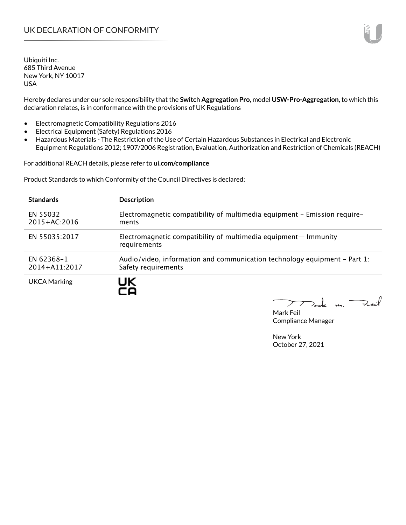Ubiquiti Inc. 685 Third Avenue New York, NY 10017 USA

Hereby declares under our sole responsibility that the **Switch Aggregation Pro**, model **USW-Pro-Aggregation**, to which this declaration relates, is in conformance with the provisions of UK Regulations

- Electromagnetic Compatibility Regulations 2016
- Electrical Equipment (Safety) Regulations 2016
- Hazardous Materials The Restriction of the Use of Certain Hazardous Substances in Electrical and Electronic Equipment Regulations 2012; 1907/2006 Registration, Evaluation, Authorization and Restriction of Chemicals (REACH)

For additional REACH details, please refer to **ui.com/compliance**

Product Standards to which Conformity of the Council Directives is declared:

| <b>Standards</b>                | <b>Description</b>                                                                               |
|---------------------------------|--------------------------------------------------------------------------------------------------|
| EN 55032<br>$2015 + AC:2016$    | Electromagnetic compatibility of multimedia equipment - Emission require-<br>ments               |
| EN 55035:2017                   | Electromagnetic compatibility of multimedia equipment- Immunity<br>requirements                  |
| EN 62368-1<br>$2014 + A11:2017$ | Audio/video, information and communication technology equipment – Part 1:<br>Safety requirements |
| UKCA Marking                    | JK                                                                                               |

Tak un Fail  $\blacktriangleright$ 

Mark Feil Compliance Manager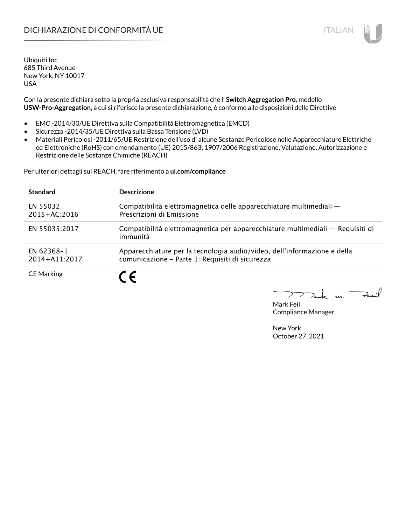## DICHIARAZIONE DI CONFORMITÀ UE ITALIAN IN ESSENTIANO IN ESSENTIA UN ESSENTIA UN ESSENTIA UN ESSENTIA UN ESSENT

Ubiquiti Inc. 685 Third Avenue New York, NY 10017 USA

Con la presente dichiara sotto la propria esclusiva responsabilità che l' **Switch Aggregation Pro**, modello **USW-Pro-Aggregation**, a cui si riferisce la presente dichiarazione, è conforme alle disposizioni delle Direttive

- EMC -2014/30/UE Direttiva sulla Compatibilità Elettromagnetica (EMCD)
- Sicurezza -2014/35/UE Direttiva sulla Bassa Tensione (LVD)
- Materiali Pericolosi -2011/65/UE Restrizione dell'uso di alcune Sostanze Pericolose nelle Apparecchiature Elettriche ed Elettroniche (RoHS) con emendamento (UE) 2015/863; 1907/2006 Registrazione, Valutazione, Autorizzazione e Restrizione delle Sostanze Chimiche (REACH)

Per ulteriori dettagli sul REACH, fare riferimento a **ui.com/compliance**

| <b>Standard</b>              | <b>Descrizione</b>                                                                                                          |
|------------------------------|-----------------------------------------------------------------------------------------------------------------------------|
| EN 55032<br>$2015 + AC:2016$ | Compatibilità elettromagnetica delle apparecchiature multimediali —<br>Prescrizioni di Emissione                            |
| EN 55035:2017                | Compatibilità elettromagnetica per apparecchiature multimediali — Requisiti di<br>immunità                                  |
| EN 62368-1<br>2014+A11:2017  | Apparecchiature per la tecnologia audio/video, dell'informazione e della<br>comunicazione - Parte 1: Requisiti di sicurezza |
| <b>CE Marking</b>            |                                                                                                                             |

 $\Rightarrow$ inf  $\overline{u}$ 

Mark Feil Compliance Manager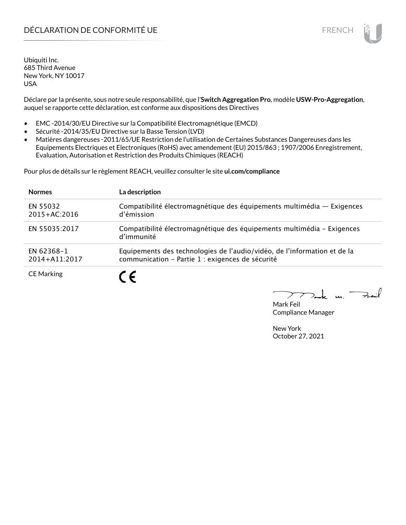## DÉCLARATION DE CONFORMITÉ UE EN ENCHANGEMENT DE CONFORMITÉ UNE ENCHANGEMENT DE CONFORMITÉ UNE ENCHANGEMENT DE

Ubiquiti Inc. 685 Third Avenue New York, NY 10017 USA

Déclare par la présente, sous notre seule responsabilité, que l'**Switch Aggregation Pro**, modèle **USW-Pro-Aggregation**, auquel se rapporte cette déclaration, est conforme aux dispositions des Directives

- EMC -2014/30/EU Directive sur la Compatibilité Electromagnétique (EMCD)
- Sécurité -2014/35/EU Directive sur la Basse Tension (LVD)
- Matières dangereuses -2011/65/UE Restriction de l'utilisation de Certaines Substances Dangereuses dans les Equipements Electriques et Electroniques (RoHS) avec amendement (EU) 2015/863 ; 1907/2006 Enregistrement, Evaluation, Autorisation et Restriction des Produits Chimiques (REACH)

Pour plus de détails sur le règlement REACH, veuillez consulter le site **ui.com/compliance**

| <b>Normes</b>                | La description                                                                                                               |
|------------------------------|------------------------------------------------------------------------------------------------------------------------------|
| EN 55032<br>$2015 + AC:2016$ | Compatibilité électromagnétique des équipements multimédia - Exigences<br>d'émission                                         |
| EN 55035:2017                | Compatibilité électromagnétique des équipements multimédia - Exigences<br>d'immunité                                         |
| EN 62368-1<br>2014+A11:2017  | Equipements des technologies de l'audio/vidéo, de l'information et de la<br>communication - Partie 1 : exigences de sécurité |
| <b>CE Marking</b>            | 7 C                                                                                                                          |

لأبدحة  $\mathbf{u}$ 

Mark Feil Compliance Manager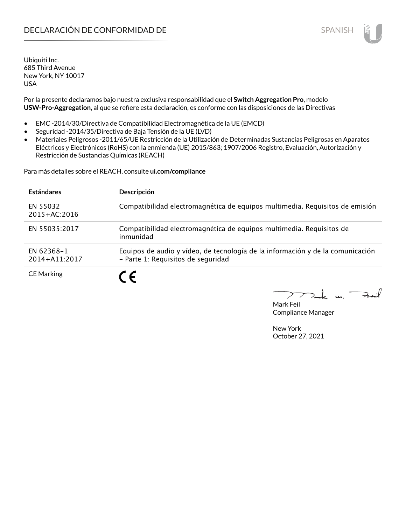## **DECLARACIÓN DE CONFORMIDAD DE SPANISH EN EL SERVIS EN EL SERVISH**

Ubiquiti Inc. 685 Third Avenue New York, NY 10017 USA

Por la presente declaramos bajo nuestra exclusiva responsabilidad que el **Switch Aggregation Pro**, modelo **USW-Pro-Aggregation**, al que se refiere esta declaración, es conforme con las disposiciones de las Directivas

- EMC -2014/30/Directiva de Compatibilidad Electromagnética de la UE (EMCD)
- Seguridad -2014/35/Directiva de Baja Tensión de la UE (LVD)
- Materiales Peligrosos -2011/65/UE Restricción de la Utilización de Determinadas Sustancias Peligrosas en Aparatos Eléctricos y Electrónicos (RoHS) con la enmienda (UE) 2015/863; 1907/2006 Registro, Evaluación, Autorización y Restricción de Sustancias Químicas (REACH)

Para más detalles sobre el REACH, consulte **ui.com/compliance**

| <b>Estándares</b>            | Descripción                                                                                                          |
|------------------------------|----------------------------------------------------------------------------------------------------------------------|
| EN 55032<br>$2015 + AC:2016$ | Compatibilidad electromagnética de equipos multimedia. Requisitos de emisión                                         |
| EN 55035:2017                | Compatibilidad electromagnética de equipos multimedia. Requisitos de<br>inmunidad                                    |
| EN 62368-1<br>2014+A11:2017  | Equipos de audio y vídeo, de tecnología de la información y de la comunicación<br>- Parte 1: Requisitos de seguridad |
| <b>CE Marking</b>            |                                                                                                                      |

لأمدحة  $\mathbf{u}$ 

Mark Feil Compliance Manager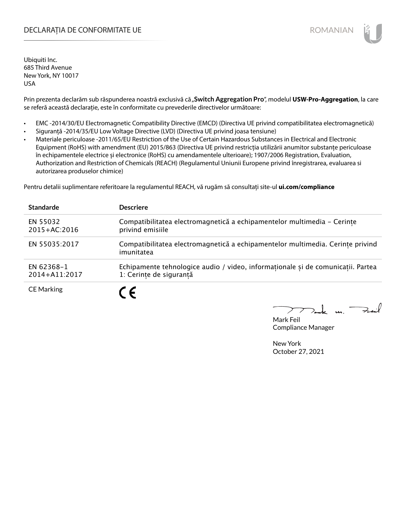## DECLARAȚIA DE CONFORMITATE UE EXTERNATION ANNO 1999 EN ANNO 1999 ROMANIAN

Ubiquiti Inc. 685 Third Avenue New York, NY 10017 USA

Prin prezenta declarăm sub răspunderea noastră exclusivă că "**Switch Aggregation Pro**", modelul **USW-Pro-Aggregation**, la care se referă această declarație, este în conformitate cu prevederile directivelor următoare:

- EMC -2014/30/EU Electromagnetic Compatibility Directive (EMCD) (Directiva UE privind compatibilitatea electromagnetică)
- Siguranță -2014/35/EU Low Voltage Directive (LVD) (Directiva UE privind joasa tensiune)
- Materiale periculoase -2011/65/EU Restriction of the Use of Certain Hazardous Substances in Electrical and Electronic Equipment (RoHS) with amendment (EU) 2015/863 (Directiva UE privind restricția utilizării anumitor substanțe periculoase în echipamentele electrice și electronice (RoHS) cu amendamentele ulterioare); 1907/2006 Registration, Evaluation, Authorization and Restriction of Chemicals (REACH) (Regulamentul Uniunii Europene privind înregistrarea, evaluarea si autorizarea produselor chimice)

Pentru detalii suplimentare referitoare la regulamentul REACH, vă rugăm să consultați site-ul **ui.com/compliance**

| <b>Standarde</b>             | <b>Descriere</b>                                                                                           |
|------------------------------|------------------------------------------------------------------------------------------------------------|
| EN 55032<br>$2015 + AC:2016$ | Compatibilitatea electromagnetică a echipamentelor multimedia - Cerințe<br>privind emisiile                |
| EN 55035:2017                | Compatibilitatea electromagnetică a echipamentelor multimedia. Cerințe privind<br>imunitatea               |
| EN 62368-1<br>2014+A11:2017  | Echipamente tehnologice audio / video, informaționale și de comunicații. Partea<br>1: Cerinte de sigurantă |
| <b>CE Marking</b>            | C E                                                                                                        |

 $\overline{u}$   $\overline{\rightarrow}$ 

Mark Feil Compliance Manager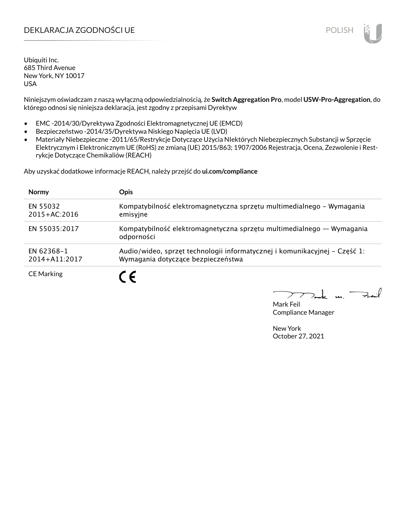## DEKLARACJA ZGODNOŚCI UE POLISH

Ubiquiti Inc. 685 Third Avenue New York, NY 10017 USA

Niniejszym oświadczam z naszą wyłączną odpowiedzialnością, że **Switch Aggregation Pro**, model **USW-Pro-Aggregation**, do którego odnosi się niniejsza deklaracja, jest zgodny z przepisami Dyrektyw

- EMC -2014/30/Dyrektywa Zgodności Elektromagnetycznej UE (EMCD)
- Bezpieczeństwo -2014/35/Dyrektywa Niskiego Napięcia UE (LVD)
- Materiały Niebezpieczne -2011/65/Restrykcje Dotyczące Użycia NIektórych Niebezpiecznych Substancji w Sprzęcie Elektrycznym i Elektronicznym UE (RoHS) ze zmianą (UE) 2015/863; 1907/2006 Rejestracja, Ocena, Zezwolenie i Restrykcje Dotyczące Chemikaliów (REACH)

Aby uzyskać dodatkowe informacje REACH, należy przejść do **ui.com/compliance**

| <b>Normy</b>                 | <b>Opis</b>                                                                                                      |
|------------------------------|------------------------------------------------------------------------------------------------------------------|
| EN 55032<br>$2015 + AC:2016$ | Kompatybilność elektromagnetyczna sprzętu multimedialnego – Wymagania<br>emisyjne                                |
| EN 55035:2017                | Kompatybilność elektromagnetyczna sprzętu multimedialnego — Wymagania<br>odporności                              |
| EN 62368-1<br>2014+A11:2017  | Audio/wideo, sprzęt technologii informatycznej i komunikacyjnej - Część 1:<br>Wymagania dotyczące bezpieczeństwa |
| <b>CE Marking</b>            |                                                                                                                  |

لأمدحة  $\mathbf{u}$ 

Mark Feil Compliance Manager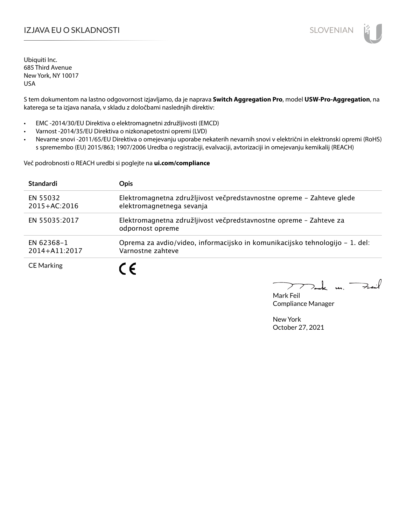## IZJAVA EU O SKLADNOSTI SLOVENIAN

Ubiquiti Inc. 685 Third Avenue New York, NY 10017 USA

S tem dokumentom na lastno odgovornost izjavljamo, da je naprava **Switch Aggregation Pro**, model **USW-Pro-Aggregation**, na katerega se ta izjava nanaša, v skladu z določbami naslednjih direktiv:

- EMC -2014/30/EU Direktiva o elektromagnetni združljivosti (EMCD)
- Varnost -2014/35/EU Direktiva o nizkonapetostni opremi (LVD)
- Nevarne snovi -2011/65/EU Direktiva o omejevanju uporabe nekaterih nevarnih snovi v električni in elektronski opremi (RoHS) s spremembo (EU) 2015/863; 1907/2006 Uredba o registraciji, evalvaciji, avtorizaciji in omejevanju kemikalij (REACH)

Več podrobnosti o REACH uredbi si poglejte na **ui.com/compliance**

| <b>Standardi</b>             | <b>Opis</b>                                                                                        |
|------------------------------|----------------------------------------------------------------------------------------------------|
| EN 55032<br>$2015 + AC:2016$ | Elektromagnetna združljivost večpredstavnostne opreme - Zahteve glede<br>elektromagnetnega sevanja |
| EN 55035:2017                | Elektromagnetna združljivost večpredstavnostne opreme - Zahteve za<br>odpornost opreme             |
| EN 62368-1<br>2014+A11:2017  | Oprema za avdio/video, informacijsko in komunikacijsko tehnologijo – 1. del:<br>Varnostne zahteve  |
| <b>CE Marking</b>            | C E                                                                                                |

 $k$  un  $\rightarrow$ 

Mark Feil Compliance Manager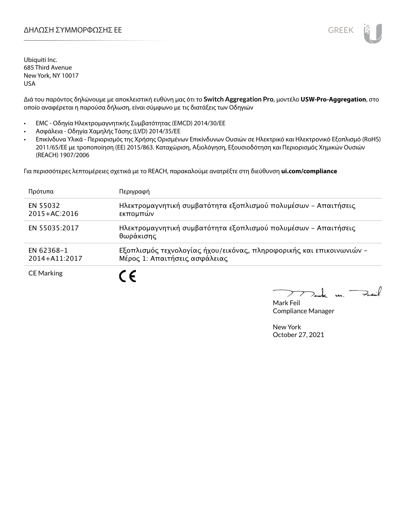

Ubiquiti Inc. 685 Third Avenue New York, NY 10017 USA

Διά του παρόντος δηλώνουμε με αποκλειστική ευθύνη μας ότι το **Switch Aggregation Pro**, μοντέλο **USW-Pro-Aggregation**, στο οποίο αναφέρεται η παρούσα δήλωση, είναι σύμφωνο με τις διατάξεις των Οδηγιών

- EMC Οδηγία Ηλεκτρομαγνητικής Συμβατότητας (EMCD) 2014/30/ΕΕ
- Ασφάλεια Οδηγία Χαμηλής Τάσης (LVD) 2014/35/ΕΕ
- Επικίνδυνα Υλικά Περιορισμός της Χρήσης Ορισμένων Επικίνδυνων Ουσιών σε Ηλεκτρικό και Ηλεκτρονικό Εξοπλισμό (RoHS) 2011/65/ΕΕ με τροποποίηση (ΕΕ) 2015/863. Καταχώριση, Αξιολόγηση, Εξουσιοδότηση και Περιορισμός Χημικών Ουσιών (REACH) 1907/2006

Για περισσότερες λεπτομέρειες σχετικά με το REACH, παρακαλούμε ανατρέξτε στη διεύθυνση **ui.com/compliance**

| Πρότυπα                      | Περιγραφή                                                                                             |
|------------------------------|-------------------------------------------------------------------------------------------------------|
| EN 55032<br>$2015 + AC:2016$ | Ηλεκτρομαγνητική συμβατότητα εξοπλισμού πολυμέσων - Απαιτήσεις<br>εκπομπών                            |
| EN 55035:2017                | Ηλεκτρομαγνητική συμβατότητα εξοπλισμού πολυμέσων - Απαιτήσεις<br>θωράκισης                           |
| EN 62368-1<br>2014+A11:2017  | Εξοπλισμός τεχνολογίας ήχου/εικόνας, πληροφορικής και επικοινωνιών -<br>Μέρος 1: Απαιτήσεις ασφάλειας |
| <b>CE Marking</b>            |                                                                                                       |

 $\rightarrow$ t u

Mark Feil Compliance Manager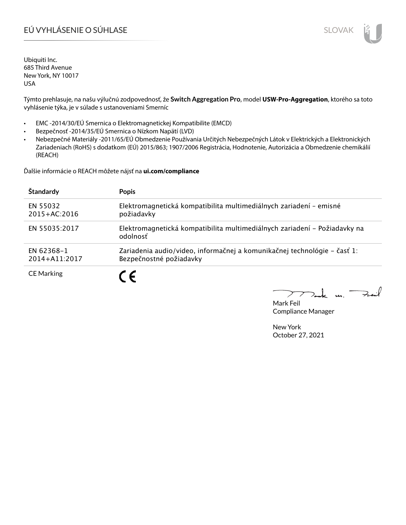# EÚ VYHLÁSENIE O SÚHLASE SLOVAK SLOVAK

Ubiquiti Inc. 685 Third Avenue New York, NY 10017 USA

Týmto prehlasuje, na našu výlučnú zodpovednosť, že **Switch Aggregation Pro**, model **USW-Pro-Aggregation**, ktorého sa toto vyhlásenie týka, je v súlade s ustanoveniami Smerníc

- EMC -2014/30/EÚ Smernica o Elektromagnetickej Kompatibilite (EMCD)
- Bezpečnosť -2014/35/EÚ Smernica o Nízkom Napätí (LVD)
- Nebezpečné Materiály -2011/65/EÚ Obmedzenie Používania Určitých Nebezpečných Látok v Elektrických a Elektronických Zariadeniach (RoHS) s dodatkom (EÚ) 2015/863; 1907/2006 Registrácia, Hodnotenie, Autorizácia a Obmedzenie chemikálií (REACH)

Ďalšie informácie o REACH môžete nájsť na **ui.com/compliance**

| Štandardy                    | <b>Popis</b>                                                                                        |
|------------------------------|-----------------------------------------------------------------------------------------------------|
| EN 55032<br>$2015 + AC:2016$ | Elektromagnetická kompatibilita multimediálnych zariadení - emisné<br>požiadavky                    |
| EN 55035:2017                | Elektromagnetická kompatibilita multimediálnych zariadení – Požiadavky na<br>odolnosť               |
| EN 62368-1<br>2014+A11:2017  | Zariadenia audio/video, informačnej a komunikačnej technológie – časť 1:<br>Bezpečnostné požiadavky |
| <b>CE Marking</b>            |                                                                                                     |

 $k$  un  $\rightarrow$  $\geq$ 

Mark Feil Compliance Manager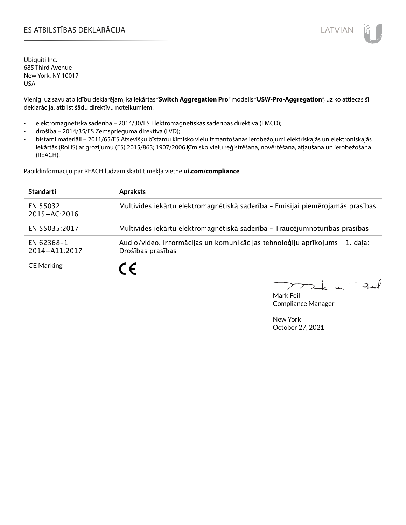## ES ATBILSTĪBAS DEKLARĀCIJA LATVIAN

Ubiquiti Inc. 685 Third Avenue New York, NY 10017 USA

Vienīgi uz savu atbildību deklarējam, ka iekārtas "**Switch Aggregation Pro**" modelis "**USW-Pro-Aggregation**", uz ko attiecas šī deklarācija, atbilst šādu direktīvu noteikumiem:

- elektromagnētiskā saderība 2014/30/ES Elektromagnētiskās saderības direktīva (EMCD);
- drošība 2014/35/ES Zemsprieguma direktīva (LVD);
- bīstami materiāli 2011/65/ES Atsevišķu bīstamu ķīmisko vielu izmantošanas ierobežojumi elektriskajās un elektroniskajās iekārtās (RoHS) ar grozījumu (ES) 2015/863; 1907/2006 Ķīmisko vielu reģistrēšana, novērtēšana, atļaušana un ierobežošana (REACH).

Papildinformāciju par REACH lūdzam skatīt tīmekļa vietnē **ui.com/compliance**

| <b>Standarti</b>             | <b>Apraksts</b>                                                                                   |
|------------------------------|---------------------------------------------------------------------------------------------------|
| EN 55032<br>$2015 + AC:2016$ | Multivides iekārtu elektromagnētiskā saderība - Emisijai piemērojamās prasības                    |
| EN 55035:2017                | Multivides iekārtu elektromagnētiskā saderība - Traucējumnoturības prasības                       |
| EN 62368-1<br>2014+A11:2017  | Audio/video, informācijas un komunikācijas tehnoloģiju aprīkojums - 1. daļa:<br>Drošības prasības |
| <b>CE Marking</b>            | C F                                                                                               |

كمنعة k m. –

Mark Feil Compliance Manager